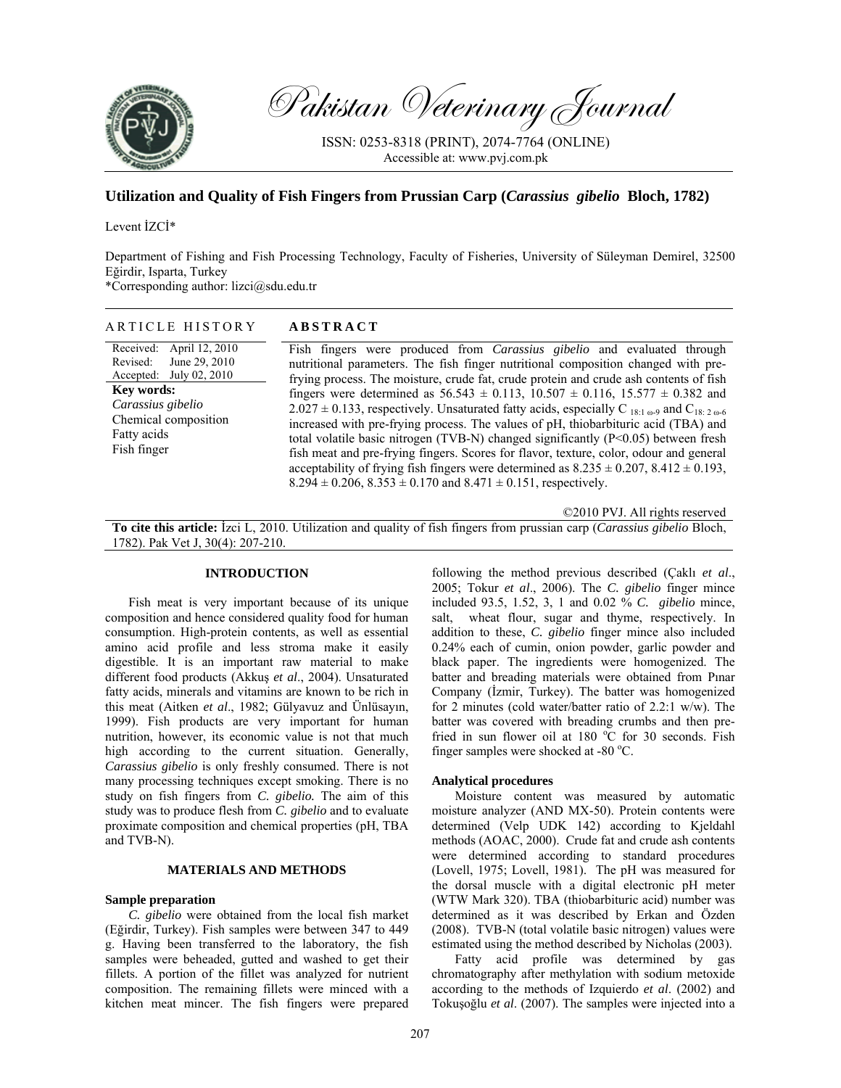

Pakistan Veterinary Journal

ISSN: 0253-8318 (PRINT), 2074-7764 (ONLINE) Accessible at: www.pvj.com.pk

# **Utilization and Quality of Fish Fingers from Prussian Carp (***Carassius gibelio* **Bloch, 1782)**

# Levent İZCİ\*

Department of Fishing and Fish Processing Technology, Faculty of Fisheries, University of Süleyman Demirel, 32500 Eğirdir, Isparta, Turkey

\*Corresponding author: lizci@sdu.edu.tr

| ARTICLE HISTORY                                                                                                                                                                     | <b>ABSTRACT</b>                                                                                                                                                                                                                                                                                                                                                                                                                                                                                                                                                                                                                                                                                                                                                                                                                                                                                                                                      |
|-------------------------------------------------------------------------------------------------------------------------------------------------------------------------------------|------------------------------------------------------------------------------------------------------------------------------------------------------------------------------------------------------------------------------------------------------------------------------------------------------------------------------------------------------------------------------------------------------------------------------------------------------------------------------------------------------------------------------------------------------------------------------------------------------------------------------------------------------------------------------------------------------------------------------------------------------------------------------------------------------------------------------------------------------------------------------------------------------------------------------------------------------|
| April 12, 2010<br>Received:<br>June 29, 2010<br>Revised:<br>Accepted: July 02, 2010<br><b>Key words:</b><br>Carassius gibelio<br>Chemical composition<br>Fatty acids<br>Fish finger | Fish fingers were produced from Carassius gibelio and evaluated through<br>nutritional parameters. The fish finger nutritional composition changed with pre-<br>frying process. The moisture, crude fat, crude protein and crude ash contents of fish<br>fingers were determined as $56.543 \pm 0.113$ , $10.507 \pm 0.116$ , $15.577 \pm 0.382$ and<br>$2.027 \pm 0.133$ , respectively. Unsaturated fatty acids, especially C 18:1 $\omega$ -9 and C <sub>18:2 <math>\omega</math>-6</sub><br>increased with pre-frying process. The values of pH, thiobarbituric acid (TBA) and<br>total volatile basic nitrogen (TVB-N) changed significantly (P<0.05) between fresh<br>fish meat and pre-frying fingers. Scores for flavor, texture, color, odour and general<br>acceptability of frying fish fingers were determined as $8.235 \pm 0.207$ , $8.412 \pm 0.193$ ,<br>$8.294 \pm 0.206$ , $8.353 \pm 0.170$ and $8.471 \pm 0.151$ , respectively. |
|                                                                                                                                                                                     | ©2010 PVJ. All rights reserved                                                                                                                                                                                                                                                                                                                                                                                                                                                                                                                                                                                                                                                                                                                                                                                                                                                                                                                       |

**To cite this article:** İzci L, 2010. Utilization and quality of fish fingers from prussian carp (*Carassius gibelio* Bloch, 1782). Pak Vet J, 30(4): 207-210.

## **INTRODUCTION**

Fish meat is very important because of its unique composition and hence considered quality food for human consumption. High-protein contents, as well as essential amino acid profile and less stroma make it easily digestible. It is an important raw material to make different food products (Akkuş *et al*., 2004). Unsaturated fatty acids, minerals and vitamins are known to be rich in this meat (Aitken *et al*., 1982; Gülyavuz and Ünlüsayın, 1999). Fish products are very important for human nutrition, however, its economic value is not that much high according to the current situation. Generally, *Carassius gibelio* is only freshly consumed. There is not many processing techniques except smoking. There is no study on fish fingers from *C. gibelio.* The aim of this study was to produce flesh from *C. gibelio* and to evaluate proximate composition and chemical properties (pH, TBA and TVB-N).

### **MATERIALS AND METHODS**

# **Sample preparation**

*C. gibelio* were obtained from the local fish market (Eğirdir, Turkey). Fish samples were between 347 to 449 g. Having been transferred to the laboratory, the fish samples were beheaded, gutted and washed to get their fillets. A portion of the fillet was analyzed for nutrient composition. The remaining fillets were minced with a kitchen meat mincer. The fish fingers were prepared following the method previous described (Çaklı *et al*., 2005; Tokur *et al*., 2006). The *C. gibelio* finger mince included 93.5, 1.52, 3, 1 and 0.02 % *C. gibelio* mince, salt, wheat flour, sugar and thyme, respectively. In addition to these, *C. gibelio* finger mince also included 0.24% each of cumin, onion powder, garlic powder and black paper. The ingredients were homogenized. The batter and breading materials were obtained from Pınar Company (İzmir, Turkey). The batter was homogenized for 2 minutes (cold water/batter ratio of 2.2:1 w/w). The batter was covered with breading crumbs and then prefried in sun flower oil at 180  $^{\circ}$ C for 30 seconds. Fish finger samples were shocked at -80 $^{\circ}$ C.

# **Analytical procedures**

Moisture content was measured by automatic moisture analyzer (AND MX-50). Protein contents were determined (Velp UDK 142) according to Kjeldahl methods (AOAC, 2000). Crude fat and crude ash contents were determined according to standard procedures (Lovell, 1975; Lovell, 1981). The pH was measured for the dorsal muscle with a digital electronic pH meter (WTW Mark 320). TBA (thiobarbituric acid) number was determined as it was described by Erkan and Özden (2008). TVB-N (total volatile basic nitrogen) values were estimated using the method described by Nicholas (2003).

Fatty acid profile was determined by gas chromatography after methylation with sodium metoxide according to the methods of Izquierdo *et al*. (2002) and Tokuşoğlu *et al*. (2007). The samples were injected into a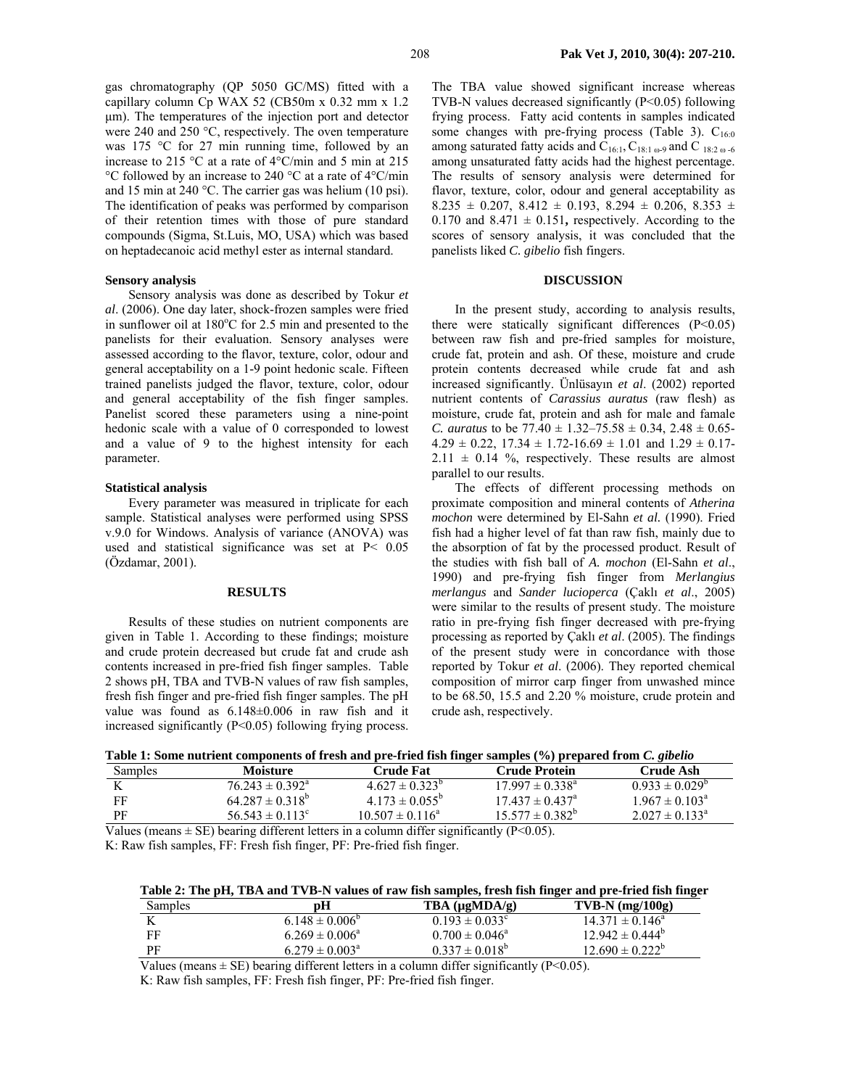gas chromatography (QP 5050 GC/MS) fitted with a capillary column Cp WAX 52 (CB50m x 0.32 mm x 1.2 µm). The temperatures of the injection port and detector were 240 and 250 °C, respectively. The oven temperature was 175 °C for 27 min running time, followed by an increase to 215 °C at a rate of 4°C/min and 5 min at 215 °C followed by an increase to 240 °C at a rate of 4°C/min and 15 min at 240 °C. The carrier gas was helium (10 psi). The identification of peaks was performed by comparison of their retention times with those of pure standard compounds (Sigma, St.Luis, MO, USA) which was based on heptadecanoic acid methyl ester as internal standard.

# **Sensory analysis**

Sensory analysis was done as described by Tokur *et al*. (2006). One day later, shock-frozen samples were fried in sunflower oil at 180°C for 2.5 min and presented to the panelists for their evaluation. Sensory analyses were assessed according to the flavor, texture, color, odour and general acceptability on a 1-9 point hedonic scale. Fifteen trained panelists judged the flavor, texture, color, odour and general acceptability of the fish finger samples. Panelist scored these parameters using a nine-point hedonic scale with a value of 0 corresponded to lowest and a value of 9 to the highest intensity for each parameter.

#### **Statistical analysis**

Every parameter was measured in triplicate for each sample. Statistical analyses were performed using SPSS v.9.0 for Windows. Analysis of variance (ANOVA) was used and statistical significance was set at P< 0.05 (Özdamar, 2001).

### **RESULTS**

Results of these studies on nutrient components are given in Table 1. According to these findings; moisture and crude protein decreased but crude fat and crude ash contents increased in pre-fried fish finger samples. Table 2 shows pH, TBA and TVB-N values of raw fish samples, fresh fish finger and pre-fried fish finger samples. The pH value was found as 6.148±0.006 in raw fish and it increased significantly (P<0.05) following frying process.

The TBA value showed significant increase whereas TVB-N values decreased significantly (P<0.05) following frying process. Fatty acid contents in samples indicated some changes with pre-frying process (Table 3).  $C_{16:0}$ among saturated fatty acids and  $C_{16:1}$ ,  $C_{18:1\omega}$ -9 and C  $_{18:2\omega}$ -6 among unsaturated fatty acids had the highest percentage. The results of sensory analysis were determined for flavor, texture, color, odour and general acceptability as  $8.235 \pm 0.207$ ,  $8.412 \pm 0.193$ ,  $8.294 \pm 0.206$ ,  $8.353 \pm 0.206$ 0.170 and  $8.471 \pm 0.151$ , respectively. According to the scores of sensory analysis, it was concluded that the panelists liked *C. gibelio* fish fingers.

# **DISCUSSION**

In the present study, according to analysis results, there were statically significant differences  $(P<0.05)$ between raw fish and pre-fried samples for moisture, crude fat, protein and ash. Of these, moisture and crude protein contents decreased while crude fat and ash increased significantly. Ünlüsayın *et al*. (2002) reported nutrient contents of *Carassius auratus* (raw flesh) as moisture, crude fat, protein and ash for male and famale *C. auratus* to be  $77.40 \pm 1.32 - 75.58 \pm 0.34$ ,  $2.48 \pm 0.65$ - $4.29 \pm 0.22$ ,  $17.34 \pm 1.72 - 16.69 \pm 1.01$  and  $1.29 \pm 0.17$ - $2.11 \pm 0.14$  %, respectively. These results are almost parallel to our results.

The effects of different processing methods on proximate composition and mineral contents of *Atherina mochon* were determined by El-Sahn *et al.* (1990). Fried fish had a higher level of fat than raw fish, mainly due to the absorption of fat by the processed product. Result of the studies with fish ball of *A. mochon* (El-Sahn *et al*., 1990) and pre-frying fish finger from *Merlangius merlangus* and *Sander lucioperca* (Çaklı *et al*., 2005) were similar to the results of present study. The moisture ratio in pre-frying fish finger decreased with pre-frying processing as reported by Çaklı *et al*. (2005). The findings of the present study were in concordance with those reported by Tokur *et al*. (2006). They reported chemical composition of mirror carp finger from unwashed mince to be 68.50, 15.5 and 2.20 % moisture, crude protein and crude ash, respectively.

| Table 1: Some nutrient components of fresh and pre-fried fish finger samples (%) prepared from C. gibelio |  |  |
|-----------------------------------------------------------------------------------------------------------|--|--|
|                                                                                                           |  |  |

| Samples | Moisture                        | <b>Crude Fat</b>          | <b>Crude Protein</b>                                  | Crude Ash                    |
|---------|---------------------------------|---------------------------|-------------------------------------------------------|------------------------------|
| K       | $76.243 \pm 0.392^{\text{a}}$   | $4.627 \pm 0.323^{\circ}$ | $17.997 \pm 0.338^{\text{a}}$                         | $0.933 \pm 0.029^{\circ}$    |
| FF      | $64.287 \pm 0.318^{\circ}$      | $4.173 \pm 0.055^{\circ}$ | $17.437 \pm 0.437^{\circ}$                            | $1.967 \pm 0.103^{\circ}$    |
| PF      | 56 543 $\pm$ 0 113 <sup>°</sup> | $10.507 \pm 0.116^a$      | $15.577 \pm 0.382^{\circ}$                            | $2.027 \pm 0.133^{\text{a}}$ |
|         |                                 |                           | $\cdots$ $\cdots$ $\cdots$ $\cdots$ $\cdots$ $\cdots$ |                              |

Values (means  $\pm$  SE) bearing different letters in a column differ significantly (P<0.05). K: Raw fish samples, FF: Fresh fish finger, PF: Pre-fried fish finger.

**Table 2: The pH, TBA and TVB-N values of raw fish samples, fresh fish finger and pre-fried fish finger** 

| Samples | рH                           | TBA $(\mu gMDA/g)$        | $TVB-N$ (mg/100g)          |
|---------|------------------------------|---------------------------|----------------------------|
| K       | $6.148 \pm 0.006^{\circ}$    | $0.193 \pm 0.033^{\circ}$ | $14.371 \pm 0.146^{\circ}$ |
| FF      | $6.269 \pm 0.006^{\circ}$    | $0.700 \pm 0.046^{\circ}$ | $12.942 \pm 0.444^{\circ}$ |
| РF      | $6.279 \pm 0.003^{\text{a}}$ | $0.337 \pm 0.018^{\circ}$ | $12.690 \pm 0.222^{\circ}$ |

Values (means  $\pm$  SE) bearing different letters in a column differ significantly (P<0.05).

K: Raw fish samples, FF: Fresh fish finger, PF: Pre-fried fish finger.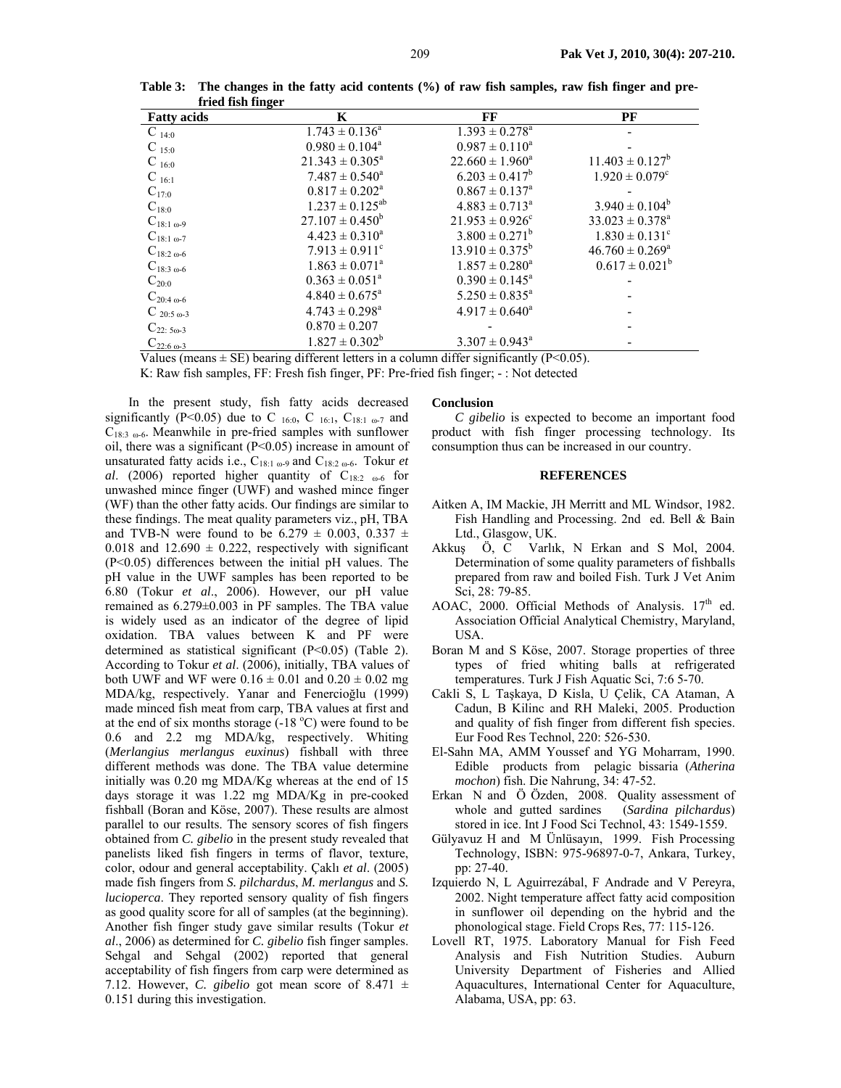| <b>Fatty acids</b>          | K                              | FF                         | PF                             |
|-----------------------------|--------------------------------|----------------------------|--------------------------------|
| $C_{14:0}$                  | $1.743 \pm 0.136^a$            | $1.393 \pm 0.278^{\circ}$  |                                |
| $C_{15:0}$                  | $0.980 \pm 0.104^a$            | $0.987 \pm 0.110^a$        |                                |
| $C_{16:0}$                  | $21.343 \pm 0.305^a$           | $22.660 \pm 1.960^a$       | $11.403 \pm 0.127^b$           |
| $C_{16:1}$                  | $7.487 \pm 0.540^a$            | $6.203 \pm 0.417^b$        | $1.920 \pm 0.079$ <sup>c</sup> |
| $C_{17:0}$                  | $0.817 \pm 0.202^{\text{a}}$   | $0.867 \pm 0.137^{\circ}$  |                                |
| $C_{18:0}$                  | $1.237 \pm 0.125^{ab}$         | $4.883 \pm 0.713^a$        | $3.940 \pm 0.104^b$            |
| $C_{18:1\omega-9}$          | $27.107 \pm 0.450^b$           | $21.953 \pm 0.926^{\circ}$ | $33.023 \pm 0.378^a$           |
| $C_{18:1\omega-7}$          | $4.423 \pm 0.310^a$            | $3.800 \pm 0.271^b$        | $1.830 \pm 0.131^c$            |
| $C_{18:2\omega-6}$          | $7.913 \pm 0.911$ <sup>c</sup> | $13.910 \pm 0.375^b$       | $46.760 \pm 0.269^{\circ}$     |
| $C_{18:3 \text{ }\omega-6}$ | $1.863 \pm 0.071^{\circ}$      | $1.857 \pm 0.280^a$        | $0.617 \pm 0.021^b$            |
| $C_{20:0}$                  | $0.363 \pm 0.051^{\circ}$      | $0.390 \pm 0.145^{\circ}$  |                                |
| $C_{20:4 \text{ }\omega-6}$ | $4.840 \pm 0.675^{\circ}$      | $5.250 \pm 0.835^a$        |                                |
| $C_{20:5 \omega-3}$         | $4.743 \pm 0.298^a$            | $4.917 \pm 0.640^a$        |                                |
| $C_{22:50-3}$               | $0.870 \pm 0.207$              |                            |                                |
| $C_{22:6 \t{.}69-3}$        | $1.827 \pm 0.302^b$            | $3.307 \pm 0.943^{\circ}$  |                                |

**Table 3: The changes in the fatty acid contents (%) of raw fish samples, raw fish finger and prefried fish finger** 

Values (means  $\pm$  SE) bearing different letters in a column differ significantly (P<0.05).

K: Raw fish samples, FF: Fresh fish finger, PF: Pre-fried fish finger; - : Not detected

In the present study, fish fatty acids decreased significantly (P<0.05) due to C 16:0, C 16:1, C<sub>18:1  $_{\text{o-7}}$ </sub> and  $C_{18:3}$  <sub>ω-6</sub>. Meanwhile in pre-fried samples with sunflower oil, there was a significant (P<0.05) increase in amount of unsaturated fatty acids i.e., C<sub>18:1 ω-9</sub> and C<sub>18:2 ω-6</sub>. Tokur *et al*. (2006) reported higher quantity of  $C_{18:2}$   $_{\omega$ -6 for unwashed mince finger (UWF) and washed mince finger (WF) than the other fatty acids. Our findings are similar to these findings. The meat quality parameters viz., pH, TBA and TVB-N were found to be  $6.279 \pm 0.003$ ,  $0.337 \pm 0.003$ 0.018 and  $12.690 \pm 0.222$ , respectively with significant (P<0.05) differences between the initial pH values. The pH value in the UWF samples has been reported to be 6.80 (Tokur *et al*., 2006). However, our pH value remained as 6.279±0.003 in PF samples. The TBA value is widely used as an indicator of the degree of lipid oxidation. TBA values between K and PF were determined as statistical significant (P<0.05) (Table 2). According to Tokur *et al*. (2006), initially, TBA values of both UWF and WF were  $0.16 \pm 0.01$  and  $0.20 \pm 0.02$  mg MDA/kg, respectively. Yanar and Fenercioğlu (1999) made minced fish meat from carp, TBA values at first and at the end of six months storage  $(-18 \degree C)$  were found to be 0.6 and 2.2 mg MDA/kg, respectively. Whiting (*Merlangius merlangus euxinus*) fishball with three different methods was done. The TBA value determine initially was 0.20 mg MDA/Kg whereas at the end of 15 days storage it was 1.22 mg MDA/Kg in pre-cooked fishball (Boran and Köse, 2007). These results are almost parallel to our results. The sensory scores of fish fingers obtained from *C. gibelio* in the present study revealed that panelists liked fish fingers in terms of flavor, texture, color, odour and general acceptability. Çaklı *et al*. (2005) made fish fingers from *S. pilchardus*, *M. merlangus* and *S. lucioperca*. They reported sensory quality of fish fingers as good quality score for all of samples (at the beginning). Another fish finger study gave similar results (Tokur *et al*., 2006) as determined for *C. gibelio* fish finger samples. Sehgal and Sehgal (2002) reported that general acceptability of fish fingers from carp were determined as 7.12. However, *C. gibelio* got mean score of  $8.471 \pm$ 0.151 during this investigation.

#### **Conclusion**

*C gibelio* is expected to become an important food product with fish finger processing technology. Its consumption thus can be increased in our country.

### **REFERENCES**

- Aitken A, IM Mackie, JH Merritt and ML Windsor, 1982. Fish Handling and Processing. 2nd ed. Bell & Bain Ltd., Glasgow, UK.
- Akkuş Ö, C Varlık, N Erkan and S Mol, 2004. Determination of some quality parameters of fishballs prepared from raw and boiled Fish. Turk J Vet Anim Sci, 28: 79-85.
- AOAC, 2000. Official Methods of Analysis. 17<sup>th</sup> ed. Association Official Analytical Chemistry, Maryland, USA.
- Boran M and S Köse, 2007. Storage properties of three types of fried whiting balls at refrigerated temperatures. Turk J Fish Aquatic Sci, 7:6 5-70.
- Cakli S, L Taşkaya, D Kisla, U Çelik, CA Ataman, A Cadun, B Kilinc and RH Maleki, 2005. Production and quality of fish finger from different fish species. Eur Food Res Technol, 220: 526-530.
- El-Sahn MA, AMM Youssef and YG Moharram, 1990. Edible products from pelagic bissaria (*Atherina mochon*) fish. Die Nahrung, 34: 47-52.
- Erkan N and Ö Özden, 2008. Quality assessment of whole and gutted sardines (*Sardina pilchardus*) stored in ice. Int J Food Sci Technol, 43: 1549-1559.
- Gülyavuz H and M Ünlüsayın, 1999. Fish Processing Technology, ISBN: 975-96897-0-7, Ankara, Turkey, pp: 27-40.
- Izquierdo N, L Aguirrezábal, F Andrade and V Pereyra, 2002. Night temperature affect fatty acid composition in sunflower oil depending on the hybrid and the phonological stage. Field Crops Res, 77: 115-126.
- Lovell RT, 1975. Laboratory Manual for Fish Feed Analysis and Fish Nutrition Studies. Auburn University Department of Fisheries and Allied Aquacultures, International Center for Aquaculture, Alabama, USA, pp: 63.